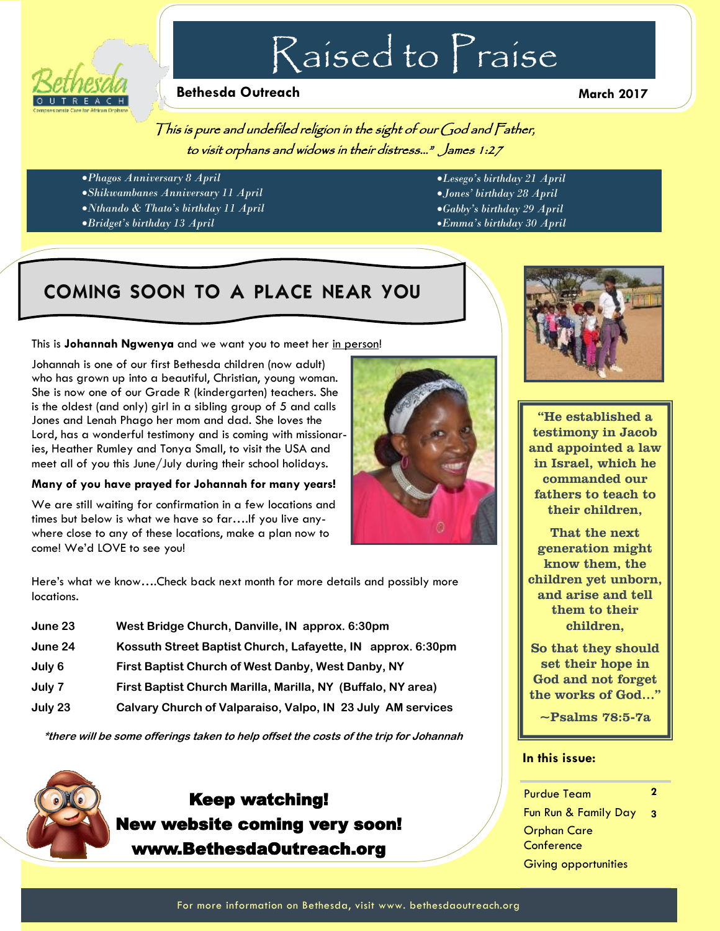

# Raised to Praise

#### **Bethesda Outreach March 2017**

This is pure and undefiled religion in the sight of our God and Father, to visit orphans and widows in their distress…" James 1:27

- *Phagos Anniversary 8 April*
- *Shikwambanes Anniversary 11 April*
- *Nthando & Thato's birthday 11 April*
- *Bridget's birthday 13 April*
- *Lesego's birthday 21 April*
- *Jones' birthday 28 April*
- *Gabby's birthday 29 April*
- *Emma's birthday 30 April*

## COMING SOON TO A PLACE NEAR YOU

This is **Johannah Ngwenya** and we want you to meet her in person!

Johannah is one of our first Bethesda children (now adult) who has grown up into a beautiful, Christian, young woman. She is now one of our Grade R (kindergarten) teachers. She is the oldest (and only) girl in a sibling group of 5 and calls Jones and Lenah Phago her mom and dad. She loves the Lord, has a wonderful testimony and is coming with missionaries, Heather Rumley and Tonya Small, to visit the USA and meet all of you this June/July during their school holidays.

#### **Many of you have prayed for Johannah for many years!**

We are still waiting for confirmation in a few locations and times but below is what we have so far….If you live anywhere close to any of these locations, make a plan now to come! We'd LOVE to see you!

Here's what we know….Check back next month for more details and possibly more locations.

| June 23 | West Bridge Church, Danville, IN approx. 6:30pm              |
|---------|--------------------------------------------------------------|
| June 24 | Kossuth Street Baptist Church, Lafayette, IN approx. 6:30pm  |
| July 6  | First Baptist Church of West Danby, West Danby, NY           |
| July 7  | First Baptist Church Marilla, Marilla, NY (Buffalo, NY area) |
| July 23 | Calvary Church of Valparaiso, Valpo, IN 23 July AM services  |

**\*there will be some offerings taken to help offset the costs of the trip for Johannah** 



### Keep watching! New website coming very soon! www.BethesdaOutreach.org





"He established a testimony in Jacob and appointed a law in Israel, which he commanded our fathers to teach to their children,

That the next generation might know them, the children yet unborn, and arise and tell them to their children,

So that they should set their hope in God and not forget the works of God…"

~Psalms 78:5-7a

#### **In this issue:**

#### Purdue Team Fun Run & Family Day Orphan Care Conference Giving opportunities **2 3**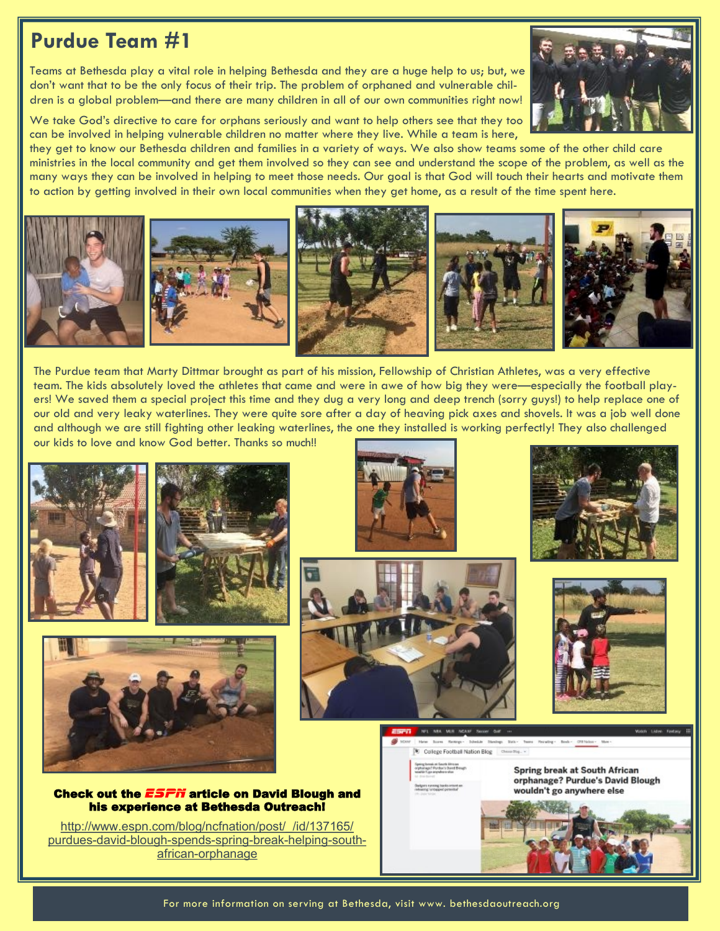## **Purdue Team #1**

Teams at Bethesda play a vital role in helping Bethesda and they are a huge help to us; but, we don't want that to be the only focus of their trip. The problem of orphaned and vulnerable children is a global problem—and there are many children in all of our own communities right now!



We take God's directive to care for orphans seriously and want to help others see that they too can be involved in helping vulnerable children no matter where they live. While a team is here,

they get to know our Bethesda children and families in a variety of ways. We also show teams some of the other child care ministries in the local community and get them involved so they can see and understand the scope of the problem, as well as the many ways they can be involved in helping to meet those needs. Our goal is that God will touch their hearts and motivate them to action by getting involved in their own local communities when they get home, as a result of the time spent here.



The Purdue team that Marty Dittmar brought as part of his mission, Fellowship of Christian Athletes, was a very effective team. The kids absolutely loved the athletes that came and were in awe of how big they were—especially the football players! We saved them a special project this time and they dug a very long and deep trench (sorry guys!) to help replace one of our old and very leaky waterlines. They were quite sore after a day of heaving pick axes and shovels. It was a job well done and although we are still fighting other leaking waterlines, the one they installed is working perfectly! They also challenged our kids to love and know God better. Thanks so much!!















College Football Nation Blog Ches

**Spring break at South African** orphanage? Purdue's David Blough wouldn't go anywhere else



Check out the *ESPN* article on David Blough and his experience at Bethesda Outreach!

http://www.espn.com/blog/ncfnation/post/ /id/137165/ [purdues](http://www.espn.com/blog/ncfnation/post/_/id/137165/purdues-david-blough-spends-spring-break-helping-south-african-orphanage)-david-blough-spends-spring-break-helping-southafrican-[orphanage](http://www.espn.com/blog/ncfnation/post/_/id/137165/purdues-david-blough-spends-spring-break-helping-south-african-orphanage)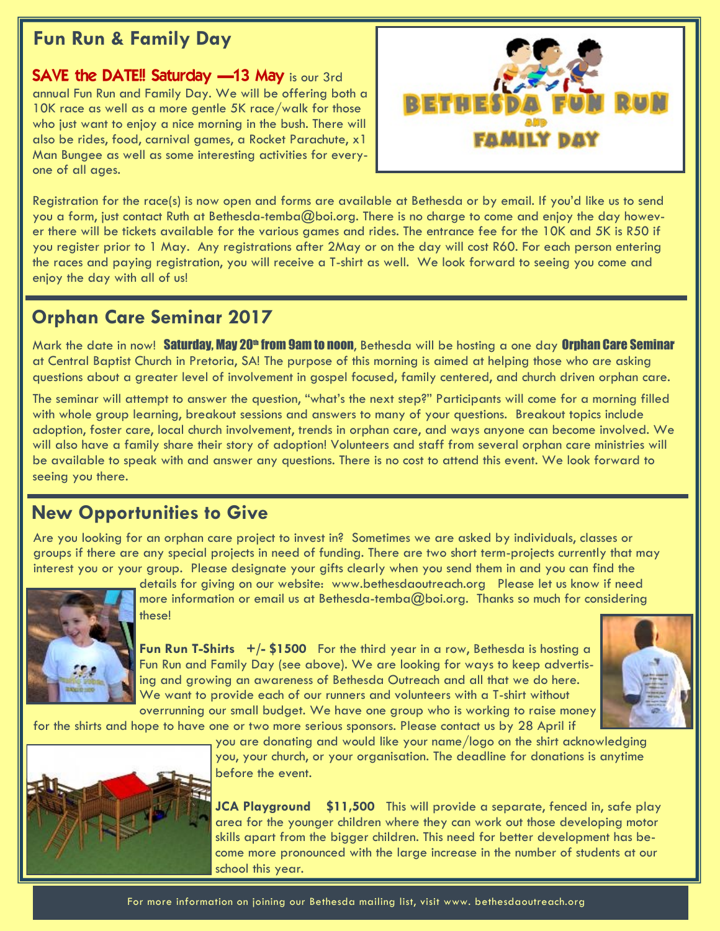### **Fun Run & Family Day**

**SAVE the DATE!! Saturday**  $-13$  **May is our 3rd** annual Fun Run and Family Day. We will be offering both a 10K race as well as a more gentle 5K race/walk for those who just want to enjoy a nice morning in the bush. There will also be rides, food, carnival games, a Rocket Parachute, x1 Man Bungee as well as some interesting activities for everyone of all ages.



Registration for the race(s) is now open and forms are available at Bethesda or by email. If you'd like us to send you a form, just contact Ruth at Bethesda-temba@boi.org. There is no charge to come and enjoy the day however there will be tickets available for the various games and rides. The entrance fee for the 10K and 5K is R50 if you register prior to 1 May. Any registrations after 2May or on the day will cost R60. For each person entering the races and paying registration, you will receive a T-shirt as well. We look forward to seeing you come and enjoy the day with all of us!

### **Orphan Care Seminar 2017**

Mark the date in now! Saturday, May 20<sup>th</sup> from 9am to noon, Bethesda will be hosting a one day Orphan Care Seminar at Central Baptist Church in Pretoria, SA! The purpose of this morning is aimed at helping those who are asking questions about a greater level of involvement in gospel focused, family centered, and church driven orphan care.

The seminar will attempt to answer the question, "what's the next step?" Participants will come for a morning filled with whole group learning, breakout sessions and answers to many of your questions. Breakout topics include adoption, foster care, local church involvement, trends in orphan care, and ways anyone can become involved. We will also have a family share their story of adoption! Volunteers and staff from several orphan care ministries will be available to speak with and answer any questions. There is no cost to attend this event. We look forward to seeing you there.

### **New Opportunities to Give**

Are you looking for an orphan care project to invest in? Sometimes we are asked by individuals, classes or groups if there are any special projects in need of funding. There are two short term-projects currently that may interest you or your group. Please designate your gifts clearly when you send them in and you can find the



details for giving on our website: www.bethesdaoutreach.org Please let us know if need more information or email us at Bethesda-temba@boi.org. Thanks so much for considering these!

**Fun Run T-Shirts +/- \$1500** For the third year in a row, Bethesda is hosting a Fun Run and Family Day (see above). We are looking for ways to keep advertising and growing an awareness of Bethesda Outreach and all that we do here. We want to provide each of our runners and volunteers with a T-shirt without overrunning our small budget. We have one group who is working to raise money



for the shirts and hope to have one or two more serious sponsors. Please contact us by 28 April if



you are donating and would like your name/logo on the shirt acknowledging you, your church, or your organisation. The deadline for donations is anytime before the event.

**JCA Playground \$11,500** This will provide a separate, fenced in, safe play area for the younger children where they can work out those developing motor skills apart from the bigger children. This need for better development has become more pronounced with the large increase in the number of students at our school this year.